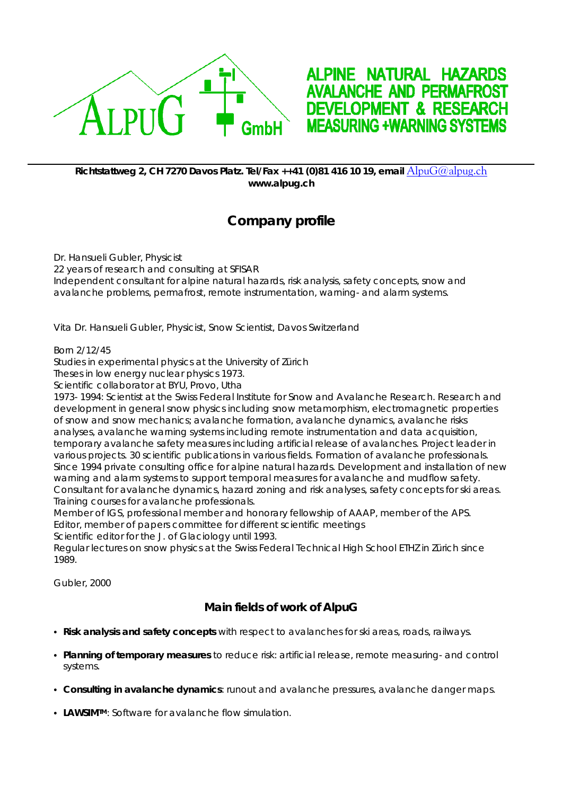



## **Richtstattweg 2, CH 7270 Davos Platz. Tel/Fax ++41 (0)81 416 10 19, email** [AlpuG@alpug.ch](mailto:AlpuG@alpug.ch) **www.alpug.ch**

## **Company profile**

Dr. Hansueli Gubler, Physicist 22 years of research and consulting at SFISAR Independent consultant for alpine natural hazards, risk analysis, safety concepts, snow and avalanche problems, permafrost, remote instrumentation, warning- and alarm systems.

*Vita Dr. Hansueli Gubler, Physicist, Snow Scientist, Davos Switzerland* 

Born 2/12/45

Studies in experimental physics at the University of Zürich

Theses in low energy nuclear physics 1973.

Scientific collaborator at BYU, Provo, Utha

1973- 1994: Scientist at the Swiss Federal Institute for Snow and Avalanche Research. Research and development in general snow physics including snow metamorphism, electromagnetic properties of snow and snow mechanics; avalanche formation, avalanche dynamics, avalanche risks analyses, avalanche warning systems including remote instrumentation and data acquisition, temporary avalanche safety measures including artificial release of avalanches. Project leader in various projects. 30 scientific publications in various fields. Formation of avalanche professionals. Since 1994 private consulting office for alpine natural hazards. Development and installation of new warning and alarm systems to support temporal measures for avalanche and mudflow safety. Consultant for avalanche dynamics, hazard zoning and risk analyses, safety concepts for ski areas. Training courses for avalanche professionals.

Member of IGS, professional member and honorary fellowship of AAAP, member of the APS. Editor, member of papers committee for different scientific meetings

Scientific editor for the J. of Glaciology until 1993.

Regular lectures on snow physics at the Swiss Federal Technical High School ETHZ in Zürich since 1989.

Gubler, 2000

## **Main fields of work of AlpuG**

- Risk analysis and safety concepts with respect to avalanches for ski areas, roads, railways.
- Planning of temporary measures to reduce risk: artificial release, remote measuring- and control systems.
- **Consulting in avalanche dynamics**: runout and avalanche pressures, avalanche danger maps.
- LAWSIM<sup>TM</sup>: Software for avalanche flow simulation.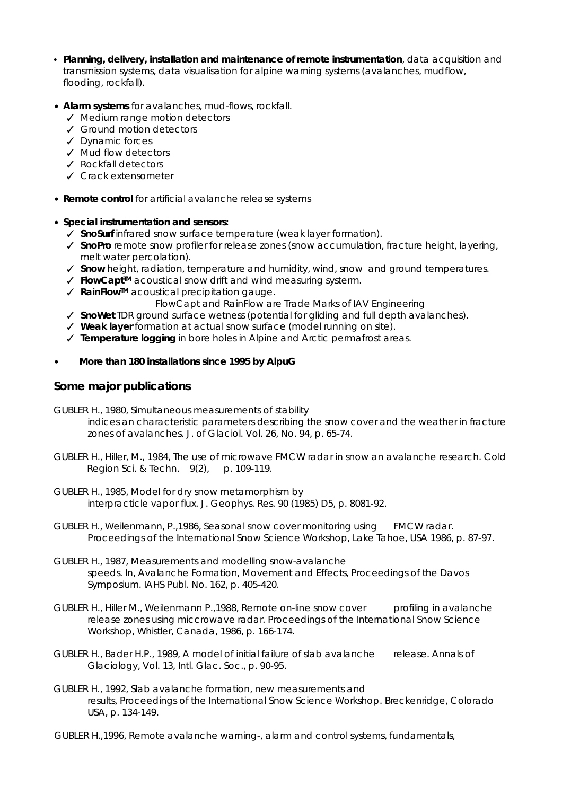- Planning, delivery, installation and maintenance of remote instrumentation, data acquisition and transmission systems, data visualisation for alpine warning systems (avalanches, mudflow, flooding, rockfall).
- **Alarm systems** for avalanches, mud-flows, rockfall.
	- $\sqrt{\phantom{a}}$  Medium range motion detectors
	- $\checkmark$  Ground motion detectors
	- $\angle$  Dynamic forces
	- $\checkmark$  Mud flow detectors
	- $\sqrt{\ }$  Rockfall detectors
	- $J$  Crack extensometer
- Remote control for artificial avalanche release systems
- \$ *Special instrumentation and sensors*:
	- √ *Sno***Surf** infrared snow surface temperature (weak layer formation).
	- T *Sno***Pro** remote snow profiler for release zones (snow accumulation, fracture height, layering, melt water percolation).
	- ✔ **Snow** height, radiation, temperature and humidity, wind, snow and ground temperatures.
	- √ **FlowCapt<sup>™</sup>** acoustical snow drift and wind measuring systerm.
	- **√ RainFlow™** acoustical precipitation gauge.

 *Flow*Capt and *Rain*Flow are Trade Marks of IAV Engineering

- **∕** *Sno***Wet** TDR ground surface wetness (potential for gliding and full depth avalanches).
- T **Weak layer** formation at actual snow surface (model running on site).
- **√ Temperature logging** in bore holes in Alpine and Arctic permafrost areas.
- \$ *More than 180 installations since 1995 by AlpuG*

## **Some major publications**

- GUBLER H., 1980, Simultaneous measurements of stability indices an characteristic parameters describing the snow cover and the weather in fracture zones of avalanches. J. of Glaciol. Vol. 26, No. 94, p. 65-74.
- GUBLER H., Hiller, M., 1984, The use of microwave FMCW radar in snow an avalanche research. Cold Region Sci. & Techn. 9(2), p. 109-119.
- GUBLER H., 1985, Model for dry snow metamorphism by interpracticle vapor flux. J. Geophys. Res. 90 (1985) D5, p. 8081-92.
- GUBLER H., Weilenmann, P., 1986, Seasonal snow cover monitoring using FMCW radar. Proceedings of the International Snow Science Workshop, Lake Tahoe, USA 1986, p. 87-97.
- GUBLER H., 1987, Measurements and modelling snow-avalanche speeds. In, Avalanche Formation, Movement and Effects, Proceedings of the Davos Symposium. IAHS Publ. No. 162, p. 405-420.
- GUBLER H., Hiller M., Weilenmann P.,1988, Remote on-line snow cover profiling in avalanche release zones using miccrowave radar. Proceedings of the International Snow Science Workshop, Whistler, Canada, 1986, p. 166-174.
- GUBLER H., Bader H.P., 1989, A model of initial failure of slab avalanche release. Annals of Glaciology, Vol. 13, Intl. Glac. Soc., p. 90-95.
- GUBLER H., 1992, Slab avalanche formation, new measurements and results, Proceedings of the International Snow Science Workshop. Breckenridge, Colorado USA, p. 134-149.
- GUBLER H.,1996, Remote avalanche warning-, alarm and control systems, fundamentals,